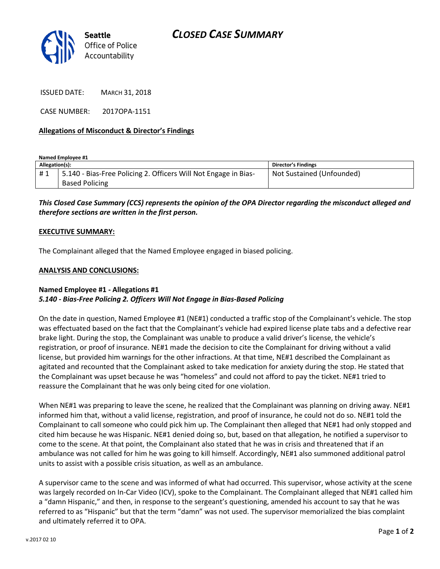

ISSUED DATE: MARCH 31, 2018

CASE NUMBER: 2017OPA-1151

### **Allegations of Misconduct & Director's Findings**

**Named Employee #1**

| Allegation(s): |                                                                 | Director's Findings       |
|----------------|-----------------------------------------------------------------|---------------------------|
| #1             | 5.140 - Bias-Free Policing 2. Officers Will Not Engage in Bias- | Not Sustained (Unfounded) |
|                | <b>Based Policing</b>                                           |                           |

*This Closed Case Summary (CCS) represents the opinion of the OPA Director regarding the misconduct alleged and therefore sections are written in the first person.* 

#### **EXECUTIVE SUMMARY:**

The Complainant alleged that the Named Employee engaged in biased policing.

### **ANALYSIS AND CONCLUSIONS:**

## **Named Employee #1 - Allegations #1** *5.140 - Bias-Free Policing 2. Officers Will Not Engage in Bias-Based Policing*

On the date in question, Named Employee #1 (NE#1) conducted a traffic stop of the Complainant's vehicle. The stop was effectuated based on the fact that the Complainant's vehicle had expired license plate tabs and a defective rear brake light. During the stop, the Complainant was unable to produce a valid driver's license, the vehicle's registration, or proof of insurance. NE#1 made the decision to cite the Complainant for driving without a valid license, but provided him warnings for the other infractions. At that time, NE#1 described the Complainant as agitated and recounted that the Complainant asked to take medication for anxiety during the stop. He stated that the Complainant was upset because he was "homeless" and could not afford to pay the ticket. NE#1 tried to reassure the Complainant that he was only being cited for one violation.

When NE#1 was preparing to leave the scene, he realized that the Complainant was planning on driving away. NE#1 informed him that, without a valid license, registration, and proof of insurance, he could not do so. NE#1 told the Complainant to call someone who could pick him up. The Complainant then alleged that NE#1 had only stopped and cited him because he was Hispanic. NE#1 denied doing so, but, based on that allegation, he notified a supervisor to come to the scene. At that point, the Complainant also stated that he was in crisis and threatened that if an ambulance was not called for him he was going to kill himself. Accordingly, NE#1 also summoned additional patrol units to assist with a possible crisis situation, as well as an ambulance.

A supervisor came to the scene and was informed of what had occurred. This supervisor, whose activity at the scene was largely recorded on In-Car Video (ICV), spoke to the Complainant. The Complainant alleged that NE#1 called him a "damn Hispanic," and then, in response to the sergeant's questioning, amended his account to say that he was referred to as "Hispanic" but that the term "damn" was not used. The supervisor memorialized the bias complaint and ultimately referred it to OPA.